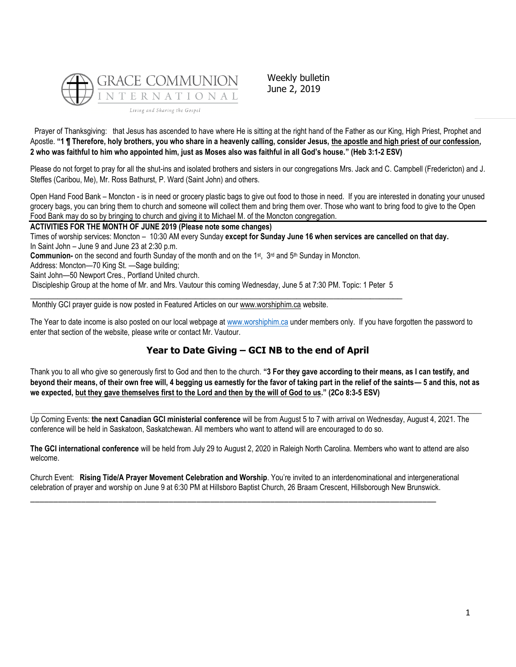

Weekly bulletin June 2, 2019

Prayer of Thanksgiving: that Jesus has ascended to have where He is sitting at the right hand of the Father as our King, High Priest, Prophet and Apostle. **"1 ¶ Therefore, holy brothers, you who share in a heavenly calling, consider Jesus, the apostle and high priest of our confession, 2 who was faithful to him who appointed him, just as Moses also was faithful in all God's house." (Heb 3:1-2 ESV)**

Please do not forget to pray for all the shut-ins and isolated brothers and sisters in our congregations Mrs. Jack and C. Campbell (Fredericton) and J. Steffes (Caribou, Me), Mr. Ross Bathurst, P. Ward (Saint John) and others.

Open Hand Food Bank – Moncton - is in need or grocery plastic bags to give out food to those in need. If you are interested in donating your unused grocery bags, you can bring them to church and someone will collect them and bring them over. Those who want to bring food to give to the Open Food Bank may do so by bringing to church and giving it to Michael M. of the Moncton congregation.

**ACTIVITIES FOR THE MONTH OF JUNE 2019 (Please note some changes)**

Times of worship services: Moncton – 10:30 AM every Sunday **except for Sunday June 16 when services are cancelled on that day.** In Saint John – June 9 and June 23 at 2:30 p.m.

Communion- on the second and fourth Sunday of the month and on the 1<sup>st</sup>, 3<sup>rd</sup> and 5<sup>th</sup> Sunday in Moncton.

Address: Moncton—70 King St. —Sage building;

Saint John—50 Newport Cres., Portland United church.

Discipleship Group at the home of Mr. and Mrs. Vautour this coming Wednesday, June 5 at 7:30 PM. Topic: 1 Peter 5 \_\_\_\_\_\_\_\_\_\_\_\_\_\_\_\_\_\_\_\_\_\_\_\_\_\_\_\_\_\_\_\_\_\_\_\_\_\_\_\_\_\_\_\_\_\_\_\_\_\_\_\_\_\_\_\_\_\_\_\_\_\_\_\_\_\_\_\_\_\_\_\_\_\_\_\_\_\_\_\_\_

Monthly GCI prayer guide is now posted in Featured Articles on our [www.worshiphim.ca](http://www.worshiphim.ca/) website.

The Year to date income is also posted on our local webpage at [www.worshiphim.ca](http://www.worshiphim.ca/) under members only. If you have forgotten the password to enter that section of the website, please write or contact Mr. Vautour.

# **Year to Date Giving – GCI NB to the end of April**

Thank you to all who give so generously first to God and then to the church. **"3 For they gave according to their means, as I can testify, and beyond their means, of their own free will, 4 begging us earnestly for the favor of taking part in the relief of the saints— 5 and this, not as we expected, but they gave themselves first to the Lord and then by the will of God to us." (2Co 8:3-5 ESV)**

 $\Box$ 

Up Coming Events: **the next Canadian GCI ministerial conference** will be from August 5 to 7 with arrival on Wednesday, August 4, 2021. The conference will be held in Saskatoon, Saskatchewan. All members who want to attend will are encouraged to do so.

**The GCI international conference** will be held from July 29 to August 2, 2020 in Raleigh North Carolina. Members who want to attend are also welcome.

Church Event: **Rising Tide/A Prayer Movement Celebration and Worship**. You're invited to an interdenominational and intergenerational celebration of prayer and worship on June 9 at 6:30 PM at Hillsboro Baptist Church, 26 Braam Crescent, Hillsborough New Brunswick.

\_\_\_\_\_\_\_\_\_\_\_\_\_\_\_\_\_\_\_\_\_\_\_\_\_\_\_\_\_\_\_\_\_\_\_\_\_\_\_\_\_\_\_\_\_\_\_\_\_\_\_\_\_\_\_\_\_\_\_\_\_\_\_\_\_\_\_\_\_\_\_\_\_\_\_\_\_\_\_\_\_\_\_\_\_\_\_\_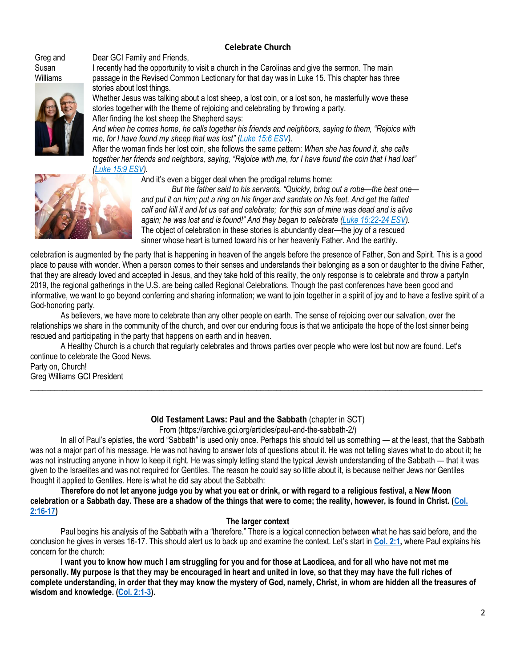# **Celebrate Church**

Greg and Susan [Williams](https://update.gci.org/wp-content/uploads/2019/04/Williams-Greg-Susan-D17_3684.jpg) 



Dear GCI Family and Friends,

I recently had the opportunity to visit a church in the Carolinas and give the sermon. The main passage in the Revised Common Lectionary for that day was in Luke 15. This chapter has three stories about lost things.

Whether Jesus was talking about a lost sheep, a lost coin, or a lost son, he masterfully wove these stories together with the theme of rejoicing and celebrating by throwing a party. After finding the lost sheep the Shepherd says:

*And when he comes home, he calls together his friends and neighbors, saying to them, "Rejoice with me, for I have found my sheep that was lost" ([Luke 15:6 ESV\)](https://biblia.com/bible/esv/Luke%2015.6).*

After the woman finds her lost coin, she follows the same pattern: *When she has found it, she calls together her friends and neighbors, saying, "Rejoice with me, for I have found the coin that I had lost" [\(Luke 15:9 ESV\)](https://biblia.com/bible/esv/Luke%2015.9).*



And it's even a bigger deal when the prodigal returns home:

*But the father said to his servants, "Quickly, bring out a robe—the best one and put it on him; put a ring on his finger and sandals on his feet. And get the fatted calf and kill it and let us eat and celebrate; for this son of mine was dead and is alive again; he was lost and is found!" And they began to celebrate ([Luke 15:22-24 ESV\)](https://biblia.com/bible/esv/Luke%2015.22-24).* The object of celebration in these stories is abundantly clear—the joy of a rescued sinner whose heart is turned toward his or her heavenly Father. And the earthly.

celebration is augmented by the party that is happening in heaven of the angels before the presence of Father, Son and Spirit. This is a good place to pause with wonder. When a person comes to their senses and understands their belonging as a son or daughter to the divine Father, that they are already loved and accepted in Jesus, and they take hold of this reality, the only response is to celebrate and throw a partyIn 2019, the regional gatherings in the U.S. are being called Regional Celebrations. Though the past conferences have been good and informative, we want to go beyond conferring and sharing information; we want to join together in a spirit of joy and to have a festive spirit of a God-honoring party.

As believers, we have more to celebrate than any other people on earth. The sense of rejoicing over our salvation, over the relationships we share in the community of the church, and over our enduring focus is that we anticipate the hope of the lost sinner being rescued and participating in the party that happens on earth and in heaven.

A Healthy Church is a church that regularly celebrates and throws parties over people who were lost but now are found. Let's continue to celebrate the Good News.

Party on, Church! Greg Williams GCI President

# **Old Testament Laws: Paul and the Sabbath** (chapter in SCT)

 $\_$  ,  $\_$  ,  $\_$  ,  $\_$  ,  $\_$  ,  $\_$  ,  $\_$  ,  $\_$  ,  $\_$  ,  $\_$  ,  $\_$  ,  $\_$  ,  $\_$  ,  $\_$  ,  $\_$  ,  $\_$  ,  $\_$  ,  $\_$  ,  $\_$  ,  $\_$  ,  $\_$  ,  $\_$  ,  $\_$  ,  $\_$  ,  $\_$  ,  $\_$  ,  $\_$  ,  $\_$  ,  $\_$  ,  $\_$  ,  $\_$  ,  $\_$  ,  $\_$  ,  $\_$  ,  $\_$  ,  $\_$  ,  $\_$  ,

From (https://archive.gci.org/articles/paul-and-the-sabbath-2/)

In all of Paul's epistles, the word "Sabbath" is used only once. Perhaps this should tell us something — at the least, that the Sabbath was not a major part of his message. He was not having to answer lots of questions about it. He was not telling slaves what to do about it; he was not instructing anyone in how to keep it right. He was simply letting stand the typical Jewish understanding of the Sabbath — that it was given to the Israelites and was not required for Gentiles. The reason he could say so little about it, is because neither Jews nor Gentiles thought it applied to Gentiles. Here is what he did say about the Sabbath:

**Therefore do not let anyone judge you by what you eat or drink, or with regard to a religious festival, a New Moon celebration or a Sabbath day. These are a shadow of the things that were to come; the reality, however, is found in Christ. [\(Col.](https://biblia.com/bible/niv/Col.%202.16-17)  [2:16-17\)](https://biblia.com/bible/niv/Col.%202.16-17)**

## **The larger context**

Paul begins his analysis of the Sabbath with a "therefore." There is a logical connection between what he has said before, and the conclusion he gives in verses 16-17. This should alert us to back up and examine the context. Let's start in **[Col. 2:1,](https://biblia.com/bible/niv/Col.%202.1)** where Paul explains his concern for the church:

**I want you to know how much I am struggling for you and for those at Laodicea, and for all who have not met me personally. My purpose is that they may be encouraged in heart and united in love, so that they may have the full riches of complete understanding, in order that they may know the mystery of God, namely, Christ, in whom are hidden all the treasures of wisdom and knowledge. [\(Col. 2:1-3\)](https://biblia.com/bible/niv/Col.%202.1-3).**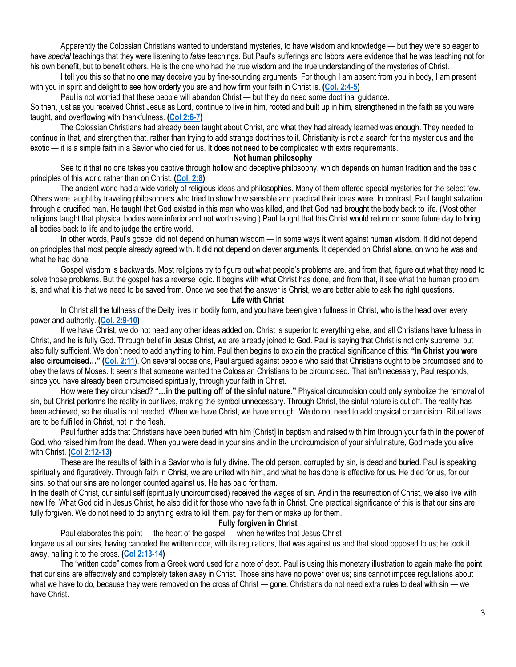Apparently the Colossian Christians wanted to understand mysteries, to have wisdom and knowledge — but they were so eager to have *special* teachings that they were listening to *false* teachings. But Paul's sufferings and labors were evidence that he was teaching not for his own benefit, but to benefit others. He is the one who had the true wisdom and the true understanding of the mysteries of Christ.

I tell you this so that no one may deceive you by fine-sounding arguments. For though I am absent from you in body, I am present with you in spirit and delight to see how orderly you are and how firm your faith in Christ is. **[\(Col. 2:4-5\)](https://biblia.com/bible/niv/Col.%202.4-5)**

Paul is not worried that these people will abandon Christ — but they do need some doctrinal guidance.

So then, just as you received Christ Jesus as Lord, continue to live in him, rooted and built up in him, strengthened in the faith as you were taught, and overflowing with thankfulness. **[\(Col 2:6-7\)](https://biblia.com/bible/niv/Col%202.6-7)**

The Colossian Christians had already been taught about Christ, and what they had already learned was enough. They needed to continue in that, and strengthen that, rather than trying to add strange doctrines to it. Christianity is not a search for the mysterious and the exotic — it is a simple faith in a Savior who died for us. It does not need to be complicated with extra requirements.

#### **Not human philosophy**

See to it that no one takes you captive through hollow and deceptive philosophy, which depends on human tradition and the basic principles of this world rather than on Christ. **[\(Col. 2:8\)](https://biblia.com/bible/niv/Col.%202.8)**

The ancient world had a wide variety of religious ideas and philosophies. Many of them offered special mysteries for the select few. Others were taught by traveling philosophers who tried to show how sensible and practical their ideas were. In contrast, Paul taught salvation through a crucified man. He taught that God existed in this man who was killed, and that God had brought the body back to life. (Most other religions taught that physical bodies were inferior and not worth saving.) Paul taught that this Christ would return on some future day to bring all bodies back to life and to judge the entire world.

In other words, Paul's gospel did not depend on human wisdom — in some ways it went against human wisdom. It did not depend on principles that most people already agreed with. It did not depend on clever arguments. It depended on Christ alone, on who he was and what he had done.

Gospel wisdom is backwards. Most religions try to figure out what people's problems are, and from that, figure out what they need to solve those problems. But the gospel has a reverse logic. It begins with what Christ has done, and from that, it see what the human problem is, and what it is that we need to be saved from. Once we see that the answer is Christ, we are better able to ask the right questions.

# **Life with Christ**

In Christ all the fullness of the Deity lives in bodily form, and you have been given fullness in Christ, who is the head over every power and authority. **[\(Col. 2:9-10\)](https://biblia.com/bible/niv/Col.%202.9-10)**

If we have Christ, we do not need any other ideas added on. Christ is superior to everything else, and all Christians have fullness in Christ, and he is fully God. Through belief in Jesus Christ, we are already joined to God. Paul is saying that Christ is not only supreme, but also fully sufficient. We don't need to add anything to him. Paul then begins to explain the practical significance of this: **"In Christ you were also circumcised…" ([Col. 2:11](https://biblia.com/bible/niv/Col.%202.11)**). On several occasions, Paul argued against people who said that Christians ought to be circumcised and to obey the laws of Moses. It seems that someone wanted the Colossian Christians to be circumcised. That isn't necessary, Paul responds, since you have already been circumcised spiritually, through your faith in Christ.

How were they circumcised? **"…in the putting off of the sinful nature."** Physical circumcision could only symbolize the removal of sin, but Christ performs the reality in our lives, making the symbol unnecessary. Through Christ, the sinful nature is cut off. The reality has been achieved, so the ritual is not needed. When we have Christ, we have enough. We do not need to add physical circumcision. Ritual laws are to be fulfilled in Christ, not in the flesh.

Paul further adds that Christians have been buried with him [Christ] in baptism and raised with him through your faith in the power of God, who raised him from the dead. When you were dead in your sins and in the uncircumcision of your sinful nature, God made you alive with Christ. **[\(Col 2:12-13\)](https://biblia.com/bible/niv/Col%202.12-13)**

These are the results of faith in a Savior who is fully divine. The old person, corrupted by sin, is dead and buried. Paul is speaking spiritually and figuratively. Through faith in Christ, we are united with him, and what he has done is effective for us. He died for us, for our sins, so that our sins are no longer counted against us. He has paid for them.

In the death of Christ, our sinful self (spiritually uncircumcised) received the wages of sin. And in the resurrection of Christ, we also live with new life. What God did in Jesus Christ, he also did it for those who have faith in Christ. One practical significance of this is that our sins are fully forgiven. We do not need to do anything extra to kill them, pay for them or make up for them.

#### **Fully forgiven in Christ**

Paul elaborates this point — the heart of the gospel — when he writes that Jesus Christ

forgave us all our sins, having canceled the written code, with its regulations, that was against us and that stood opposed to us; he took it away, nailing it to the cross. **[\(Col 2:13-14\)](https://biblia.com/bible/niv/Col%202.13-14)**

The "written code" comes from a Greek word used for a note of debt. Paul is using this monetary illustration to again make the point that our sins are effectively and completely taken away in Christ. Those sins have no power over us; sins cannot impose regulations about what we have to do, because they were removed on the cross of Christ — gone. Christians do not need extra rules to deal with sin — we have Christ.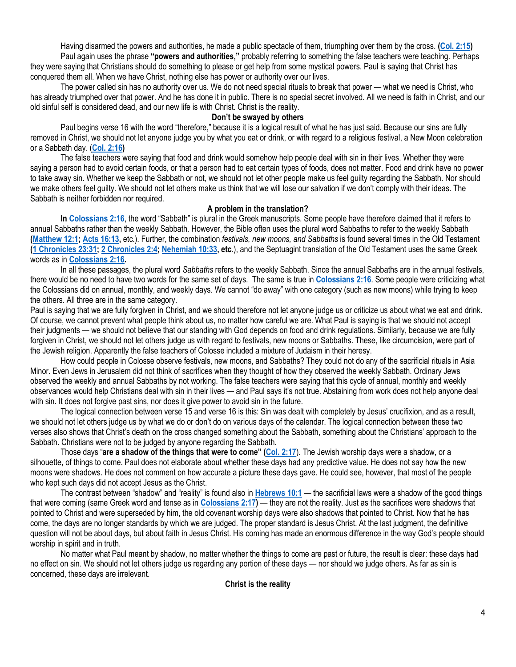Having disarmed the powers and authorities, he made a public spectacle of them, triumphing over them by the cross. **[\(Col. 2:15\)](https://biblia.com/bible/niv/Col.%202.15)** Paul again uses the phrase **"powers and authorities,"** probably referring to something the false teachers were teaching. Perhaps they were saying that Christians should do something to please or get help from some mystical powers. Paul is saying that Christ has conquered them all. When we have Christ, nothing else has power or authority over our lives.

The power called sin has no authority over us. We do not need special rituals to break that power — what we need is Christ, who has already triumphed over that power. And he has done it in public. There is no special secret involved. All we need is faith in Christ, and our old sinful self is considered dead, and our new life is with Christ. Christ is the reality.

### **Don't be swayed by others**

Paul begins verse 16 with the word "therefore," because it is a logical result of what he has just said. Because our sins are fully removed in Christ, we should not let anyone judge you by what you eat or drink, or with regard to a religious festival, a New Moon celebration or a Sabbath day. (**[Col. 2:16\)](https://biblia.com/bible/niv/Col.%202.16)**

The false teachers were saying that food and drink would somehow help people deal with sin in their lives. Whether they were saying a person had to avoid certain foods, or that a person had to eat certain types of foods, does not matter. Food and drink have no power to take away sin. Whether we keep the Sabbath or not, we should not let other people make us feel guilty regarding the Sabbath. Nor should we make others feel guilty. We should not let others make us think that we will lose our salvation if we don't comply with their ideas. The Sabbath is neither forbidden nor required.

### **A problem in the translation?**

**In [Colossians 2:16](https://biblia.com/bible/niv/Col%202.16)**, the word "Sabbath" is plural in the Greek manuscripts. Some people have therefore claimed that it refers to annual Sabbaths rather than the weekly Sabbath. However, the Bible often uses the plural word Sabbaths to refer to the weekly Sabbath **[\(Matthew 12:1;](https://biblia.com/bible/niv/Matt%2012.1) [Acts 16:13,](https://biblia.com/bible/niv/Acts%2016.13)** etc.). Further, the combination *festivals, new moons, and Sabbaths* is found several times in the Old Testament **[\(1 Chronicles 23:31;](https://biblia.com/bible/niv/1%20Chron%2023.31) [2 Chronicles 2:4;](https://biblia.com/bible/niv/2%20Chron%202.4) [Nehemiah 10:33,](https://biblia.com/bible/niv/Neh%2010.33) etc**.), and the Septuagint translation of the Old Testament uses the same Greek words as in **[Colossians 2:16.](https://biblia.com/bible/niv/Col%202.16)**

In all these passages, the plural word *Sabbaths* refers to the weekly Sabbath. Since the annual Sabbaths are in the annual festivals, there would be no need to have two words for the same set of days. The same is true in **[Colossians 2:16](https://biblia.com/bible/niv/Col%202.16)**. Some people were criticizing what the Colossians did on annual, monthly, and weekly days. We cannot "do away" with one category (such as new moons) while trying to keep the others. All three are in the same category.

Paul is saying that we are fully forgiven in Christ, and we should therefore not let anyone judge us or criticize us about what we eat and drink. Of course, we cannot prevent what people think about us, no matter how careful we are. What Paul is saying is that we should not accept their judgments — we should not believe that our standing with God depends on food and drink regulations. Similarly, because we are fully forgiven in Christ, we should not let others judge us with regard to festivals, new moons or Sabbaths. These, like circumcision, were part of the Jewish religion. Apparently the false teachers of Colosse included a mixture of Judaism in their heresy.

How could people in Colosse observe festivals, new moons, and Sabbaths? They could not do any of the sacrificial rituals in Asia Minor. Even Jews in Jerusalem did not think of sacrifices when they thought of how they observed the weekly Sabbath. Ordinary Jews observed the weekly and annual Sabbaths by not working. The false teachers were saying that this cycle of annual, monthly and weekly observances would help Christians deal with sin in their lives — and Paul says it's not true. Abstaining from work does not help anyone deal with sin. It does not forgive past sins, nor does it give power to avoid sin in the future.

The logical connection between verse 15 and verse 16 is this: Sin was dealt with completely by Jesus' crucifixion, and as a result, we should not let others judge us by what we do or don't do on various days of the calendar. The logical connection between these two verses also shows that Christ's death on the cross changed something about the Sabbath, something about the Christians' approach to the Sabbath. Christians were not to be judged by anyone regarding the Sabbath.

Those days "**are a shadow of the things that were to come" ([Col. 2:17](https://biblia.com/bible/niv/Col.%202.17)**). The Jewish worship days were a shadow, or a silhouette, of things to come. Paul does not elaborate about whether these days had any predictive value. He does not say how the new moons were shadows. He does not comment on how accurate a picture these days gave. He could see, however, that most of the people who kept such days did not accept Jesus as the Christ.

The contrast between "shadow" and "reality" is found also in **[Hebrews 10:1](https://biblia.com/bible/niv/Heb%2010.1)** — the sacrificial laws were a shadow of the good things that were coming (same Greek word and tense as in **[Colossians 2:17\)](https://biblia.com/bible/niv/Col%202.17)** — they are not the reality. Just as the sacrifices were shadows that pointed to Christ and were superseded by him, the old covenant worship days were also shadows that pointed to Christ. Now that he has come, the days are no longer standards by which we are judged. The proper standard is Jesus Christ. At the last judgment, the definitive question will not be about days, but about faith in Jesus Christ. His coming has made an enormous difference in the way God's people should worship in spirit and in truth.

No matter what Paul meant by shadow, no matter whether the things to come are past or future, the result is clear: these days had no effect on sin. We should not let others judge us regarding any portion of these days — nor should we judge others. As far as sin is concerned, these days are irrelevant.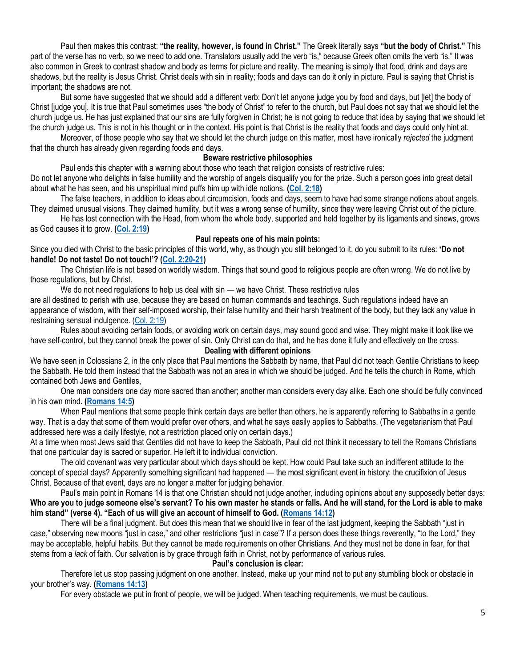Paul then makes this contrast: **"the reality, however, is found in Christ."** The Greek literally says **"but the body of Christ."** This part of the verse has no verb, so we need to add one. Translators usually add the verb "is," because Greek often omits the verb "is." It was also common in Greek to contrast shadow and body as terms for picture and reality. The meaning is simply that food, drink and days are shadows, but the reality is Jesus Christ. Christ deals with sin in reality; foods and days can do it only in picture. Paul is saying that Christ is important; the shadows are not.

But some have suggested that we should add a different verb: Don't let anyone judge you by food and days, but [let] the body of Christ [judge you]. It is true that Paul sometimes uses "the body of Christ" to refer to the church, but Paul does not say that we should let the church judge us. He has just explained that our sins are fully forgiven in Christ; he is not going to reduce that idea by saying that we should let the church judge us. This is not in his thought or in the context. His point is that Christ is the reality that foods and days could only hint at.

Moreover, of those people who say that we should let the church judge on this matter, most have ironically *rejected* the judgment that the church has already given regarding foods and days.

### **Beware restrictive philosophies**

Paul ends this chapter with a warning about those who teach that religion consists of restrictive rules:

Do not let anyone who delights in false humility and the worship of angels disqualify you for the prize. Such a person goes into great detail about what he has seen, and his unspiritual mind puffs him up with idle notions. **[\(Col. 2:18\)](https://biblia.com/bible/niv/Col.%202.18)**

The false teachers, in addition to ideas about circumcision, foods and days, seem to have had some strange notions about angels. They claimed unusual visions. They claimed humility, but it was a wrong sense of humility, since they were leaving Christ out of the picture.

He has lost connection with the Head, from whom the whole body, supported and held together by its ligaments and sinews, grows as God causes it to grow. **[\(Col. 2:19\)](https://biblia.com/bible/niv/Col.%202.19)**

#### **Paul repeats one of his main points:**

Since you died with Christ to the basic principles of this world, why, as though you still belonged to it, do you submit to its rules: **'Do not handle! Do not taste! Do not touch!'? ([Col. 2:20-21\)](https://biblia.com/bible/niv/Col.%202.20-21)**

The Christian life is not based on worldly wisdom. Things that sound good to religious people are often wrong. We do not live by those regulations, but by Christ.

We do not need regulations to help us deal with sin — we have Christ. These restrictive rules

are all destined to perish with use, because they are based on human commands and teachings. Such regulations indeed have an appearance of wisdom, with their self-imposed worship, their false humility and their harsh treatment of the body, but they lack any value in restraining sensual indulgence. [\(Col. 2:19\)](https://biblia.com/bible/niv/Col.%202.19)

Rules about avoiding certain foods, or avoiding work on certain days, may sound good and wise. They might make it look like we have self-control, but they cannot break the power of sin. Only Christ can do that, and he has done it fully and effectively on the cross.

# **Dealing with different opinions**

We have seen in Colossians 2, in the only place that Paul mentions the Sabbath by name, that Paul did not teach Gentile Christians to keep the Sabbath. He told them instead that the Sabbath was not an area in which we should be judged. And he tells the church in Rome, which contained both Jews and Gentiles,

One man considers one day more sacred than another; another man considers every day alike. Each one should be fully convinced in his own mind. **[\(Romans 14:5\)](https://biblia.com/bible/niv/Rom%2014.5)**

When Paul mentions that some people think certain days are better than others, he is apparently referring to Sabbaths in a gentle way. That is a day that some of them would prefer over others, and what he says easily applies to Sabbaths. (The vegetarianism that Paul addressed here was a daily lifestyle, not a restriction placed only on certain days.)

At a time when most Jews said that Gentiles did not have to keep the Sabbath, Paul did not think it necessary to tell the Romans Christians that one particular day is sacred or superior. He left it to individual conviction.

The old covenant was very particular about which days should be kept. How could Paul take such an indifferent attitude to the concept of special days? Apparently something significant had happened — the most significant event in history: the crucifixion of Jesus Christ. Because of that event, days are no longer a matter for judging behavior.

Paul's main point in Romans 14 is that one Christian should not judge another, including opinions about any supposedly better days: **Who are you to judge someone else's servant? To his own master he stands or falls. And he will stand, for the Lord is able to make him stand" (verse 4). "Each of us will give an account of himself to God. ([Romans 14:12\)](https://biblia.com/bible/niv/Rom%2014.12)**

There will be a final judgment. But does this mean that we should live in fear of the last judgment, keeping the Sabbath "just in case," observing new moons "just in case," and other restrictions "just in case"? If a person does these things reverently, "to the Lord," they may be acceptable, helpful habits. But they cannot be made requirements on other Christians. And they must not be done in fear, for that stems from a *lack* of faith. Our salvation is by grace through faith in Christ, not by performance of various rules.

#### **Paul's conclusion is clear:**

Therefore let us stop passing judgment on one another. Instead, make up your mind not to put any stumbling block or obstacle in your brother's way. **[\(Romans 14:13\)](https://biblia.com/bible/niv/Rom%2014.13)**

For every obstacle we put in front of people, we will be judged. When teaching requirements, we must be cautious.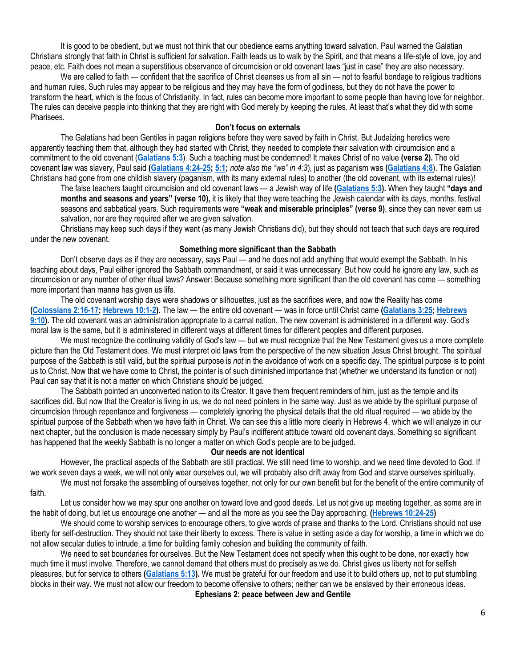It is good to be obedient, but we must not think that our obedience earns anything toward salvation. Paul warned the Galatian Christians strongly that faith in Christ is sufficient for salvation. Faith leads us to walk by the Spirit, and that means a life-style of love, joy and peace, etc. Faith does not mean a superstitious observance of circumcision or old covenant laws "just in case" they are also necessary.

We are called to faith — confident that the sacrifice of Christ cleanses us from all sin — not to fearful bondage to religious traditions and human rules. Such rules may appear to be religious and they may have the form of godliness, but they do not have the power to transform the heart, which is the focus of Christianity. In fact, rules can become more important to some people than having love for neighbor. The rules can deceive people into thinking that they are right with God merely by keeping the rules. At least that's what they did with some Pharisees.

#### **Don't focus on externals**

The Galatians had been Gentiles in pagan religions before they were saved by faith in Christ. But Judaizing heretics were apparently teaching them that, although they had started with Christ, they needed to complete their salvation with circumcision and a commitment to the old covenant (**[Galatians 5:3](https://biblia.com/bible/niv/Gal%205.3)**). Such a teaching must be condemned! It makes Christ of no value **(verse 2).** The old covenant law was slavery, Paul said **[\(Galatians 4:24-25;](https://biblia.com/bible/niv/Gal%204.24-25) [5:1;](https://biblia.com/bible/niv/Galatians%205.1)** *note also the "we" in 4:3*), just as paganism was **[\(Galatians 4:8](https://biblia.com/bible/niv/Gal%204.8)**). The Galatian Christians had gone from one childish slavery (paganism, with its many external rules) to another (the old covenant, with its external rules)!

The false teachers taught circumcision and old covenant laws — a Jewish way of life **[\(Galatians 5:3\)](https://biblia.com/bible/niv/Gal%205.3).** When they taught **"days and months and seasons and years" (verse 10),** it is likely that they were teaching the Jewish calendar with its days, months, festival seasons and sabbatical years. Such requirements were **"weak and miserable principles" (verse 9)**, since they can never earn us salvation, nor are they required after we are given salvation.

Christians may keep such days if they want (as many Jewish Christians did), but they should not teach that such days are required under the new covenant.

### **Something more significant than the Sabbath**

Don't observe days as if they are necessary, says Paul — and he does not add anything that would exempt the Sabbath. In his teaching about days, Paul either ignored the Sabbath commandment, or said it was unnecessary. But how could he ignore any law, such as circumcision or any number of other ritual laws? Answer: Because something more significant than the old covenant has come — something more important than manna has given us life.

The old covenant worship days were shadows or silhouettes, just as the sacrifices were, and now the Reality has come **[\(Colossians 2:16-17;](https://biblia.com/bible/niv/Col%202.16-17) [Hebrews 10:1-2\)](https://biblia.com/bible/niv/Heb%2010.1-2).** The law — the entire old covenant — was in force until Christ came **[\(Galatians 3:25;](https://biblia.com/bible/niv/Gal%203.25) [Hebrews](https://biblia.com/bible/niv/Heb%209.10)  [9:10\)](https://biblia.com/bible/niv/Heb%209.10).** The old covenant was an administration appropriate to a carnal nation. The new covenant is administered in a different way. God's moral law is the same, but it is administered in different ways at different times for different peoples and different purposes.

We must recognize the continuing validity of God's law — but we must recognize that the New Testament gives us a more complete picture than the Old Testament does. We must interpret old laws from the perspective of the new situation Jesus Christ brought. The spiritual purpose of the Sabbath is still valid, but the spiritual purpose is *not* in the avoidance of work on a specific day. The spiritual purpose is to point us to Christ. Now that we have come to Christ, the pointer is of such diminished importance that (whether we understand its function or not) Paul can say that it is not a matter on which Christians should be judged.

The Sabbath pointed an unconverted nation to its Creator. It gave them frequent reminders of him, just as the temple and its sacrifices did. But now that the Creator is living in us, we do not need pointers in the same way. Just as we abide by the spiritual purpose of circumcision through repentance and forgiveness — completely ignoring the physical details that the old ritual required — we abide by the spiritual purpose of the Sabbath when we have faith in Christ. We can see this a little more clearly in Hebrews 4, which we will analyze in our next chapter, but the conclusion is made necessary simply by Paul's indifferent attitude toward old covenant days. Something so significant has happened that the weekly Sabbath is no longer a matter on which God's people are to be judged.

#### **Our needs are not identical**

However, the practical aspects of the Sabbath are still practical. We still need time to worship, and we need time devoted to God. If we work seven days a week, we will not only wear ourselves out, we will probably also drift away from God and starve ourselves spiritually. We must not forsake the assembling of ourselves together, not only for our own benefit but for the benefit of the entire community of

faith.

Let us consider how we may spur one another on toward love and good deeds. Let us not give up meeting together, as some are in the habit of doing, but let us encourage one another — and all the more as you see the Day approaching. **[\(Hebrews 10:24-25\)](https://biblia.com/bible/niv/Heb%2010.24-25)**

We should come to worship services to encourage others, to give words of praise and thanks to the Lord. Christians should not use liberty for self-destruction. They should not take their liberty to excess. There is value in setting aside a day for worship, a time in which we do not allow secular duties to intrude, a time for building family cohesion and building the community of faith.

We need to set boundaries for ourselves. But the New Testament does not specify when this ought to be done, nor exactly how much time it must involve. Therefore, we cannot demand that others must do precisely as we do. Christ gives us liberty not for selfish pleasures, but for service to others **[\(Galatians 5:13\)](https://biblia.com/bible/niv/Gal%205.13).** We must be grateful for our freedom and use it to build others up, not to put stumbling blocks in their way. We must not allow our freedom to become offensive to others; neither can we be enslaved by their erroneous ideas. **Ephesians 2: peace between Jew and Gentile**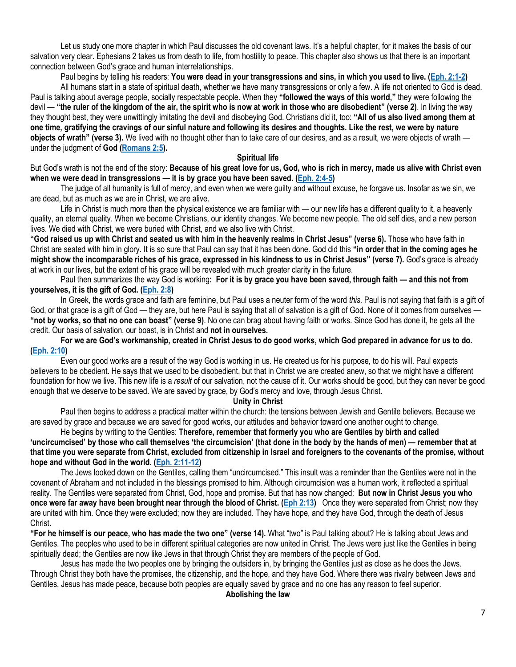Let us study one more chapter in which Paul discusses the old covenant laws. It's a helpful chapter, for it makes the basis of our salvation very clear. Ephesians 2 takes us from death to life, from hostility to peace. This chapter also shows us that there is an important connection between God's grace and human interrelationships.

Paul begins by telling his readers: You were dead in your transgressions and sins, in which you used to live. [\(Eph. 2:1-2\)](https://biblia.com/bible/niv/Eph.%202.1-2)

All humans start in a state of spiritual death, whether we have many transgressions or only a few. A life not oriented to God is dead. Paul is talking about average people, socially respectable people. When they **"followed the ways of this world,"** they were following the devil — **"the ruler of the kingdom of the air, the spirit who is now at work in those who are disobedient" (verse 2)**. In living the way they thought best, they were unwittingly imitating the devil and disobeying God. Christians did it, too: **"All of us also lived among them at one time, gratifying the cravings of our sinful nature and following its desires and thoughts. Like the rest, we were by nature objects of wrath" (verse 3).** We lived with no thought other than to take care of our desires, and as a result, we were objects of wrath under the judgment of **God [\(Romans 2:5\)](https://biblia.com/bible/niv/Rom%202.5).**

### **Spiritual life**

But God's wrath is not the end of the story: **Because of his great love for us, God, who is rich in mercy, made us alive with Christ even when we were dead in transgressions — it is by grace you have been saved. [\(Eph. 2:4-5\)](https://biblia.com/bible/niv/Eph.%202.4-5)**

The judge of all humanity is full of mercy, and even when we were guilty and without excuse, he forgave us. Insofar as we sin, we are dead, but as much as we are in Christ, we are alive.

Life in Christ is much more than the physical existence we are familiar with — our new life has a different quality to it, a heavenly quality, an eternal quality. When we become Christians, our identity changes. We become new people. The old self dies, and a new person lives. We died with Christ, we were buried with Christ, and we also live with Christ.

**"God raised us up with Christ and seated us with him in the heavenly realms in Christ Jesus" (verse 6).** Those who have faith in Christ are seated with him in glory. It is so sure that Paul can say that it has been done. God did this **"in order that in the coming ages he might show the incomparable riches of his grace, expressed in his kindness to us in Christ Jesus" (verse 7).** God's grace is already at work in our lives, but the extent of his grace will be revealed with much greater clarity in the future.

Paul then summarizes the way God is working**: For it is by grace you have been saved, through faith — and this not from yourselves, it is the gift of God. [\(Eph. 2:8\)](https://biblia.com/bible/niv/Eph.%202.8)**

In Greek, the words grace and faith are feminine, but Paul uses a neuter form of the word *this.* Paul is not saying that faith is a gift of God, or that grace is a gift of God — they are, but here Paul is saying that all of salvation is a gift of God. None of it comes from ourselves — **"not by works, so that no one can boast" (verse 9)**. No one can brag about having faith or works. Since God has done it, he gets all the credit. Our basis of salvation, our boast, is in Christ and **not in ourselves.**

# **For we are God's workmanship, created in Christ Jesus to do good works, which God prepared in advance for us to do. [\(Eph. 2:10\)](https://biblia.com/bible/niv/Eph.%202.10)**

Even our good works are a result of the way God is working in us. He created us for his purpose, to do his will. Paul expects believers to be obedient. He says that we used to be disobedient, but that in Christ we are created anew, so that we might have a different foundation for how we live. This new life is a *result* of our salvation, not the cause of it. Our works should be good, but they can never be good enough that we deserve to be saved. We are saved by grace, by God's mercy and love, through Jesus Christ.

#### **Unity in Christ**

Paul then begins to address a practical matter within the church: the tensions between Jewish and Gentile believers. Because we are saved by grace and because we are saved for good works, our attitudes and behavior toward one another ought to change.

He begins by writing to the Gentiles: **Therefore, remember that formerly you who are Gentiles by birth and called 'uncircumcised' by those who call themselves 'the circumcision' (that done in the body by the hands of men) — remember that at that time you were separate from Christ, excluded from citizenship in Israel and foreigners to the covenants of the promise, without hope and without God in the world. [\(Eph. 2:11-12\)](https://biblia.com/bible/niv/Eph.%202.11-12)**

The Jews looked down on the Gentiles, calling them "uncircumcised." This insult was a reminder than the Gentiles were not in the covenant of Abraham and not included in the blessings promised to him. Although circumcision was a human work, it reflected a spiritual reality. The Gentiles were separated from Christ, God, hope and promise. But that has now changed: **But now in Christ Jesus you who once were far away have been brought near through the blood of Christ. [\(Eph 2:13\)](https://biblia.com/bible/niv/Eph%202.13)** Once they were separated from Christ; now they are united with him. Once they were excluded; now they are included. They have hope, and they have God, through the death of Jesus Christ.

**"For he himself is our peace, who has made the two one" (verse 14).** What "two" is Paul talking about? He is talking about Jews and Gentiles. The peoples who used to be in different spiritual categories are now united in Christ. The Jews were just like the Gentiles in being spiritually dead; the Gentiles are now like Jews in that through Christ they are members of the people of God.

Jesus has made the two peoples one by bringing the outsiders in, by bringing the Gentiles just as close as he does the Jews. Through Christ they both have the promises, the citizenship, and the hope, and they have God. Where there was rivalry between Jews and Gentiles, Jesus has made peace, because both peoples are equally saved by grace and no one has any reason to feel superior.

#### **Abolishing the law**